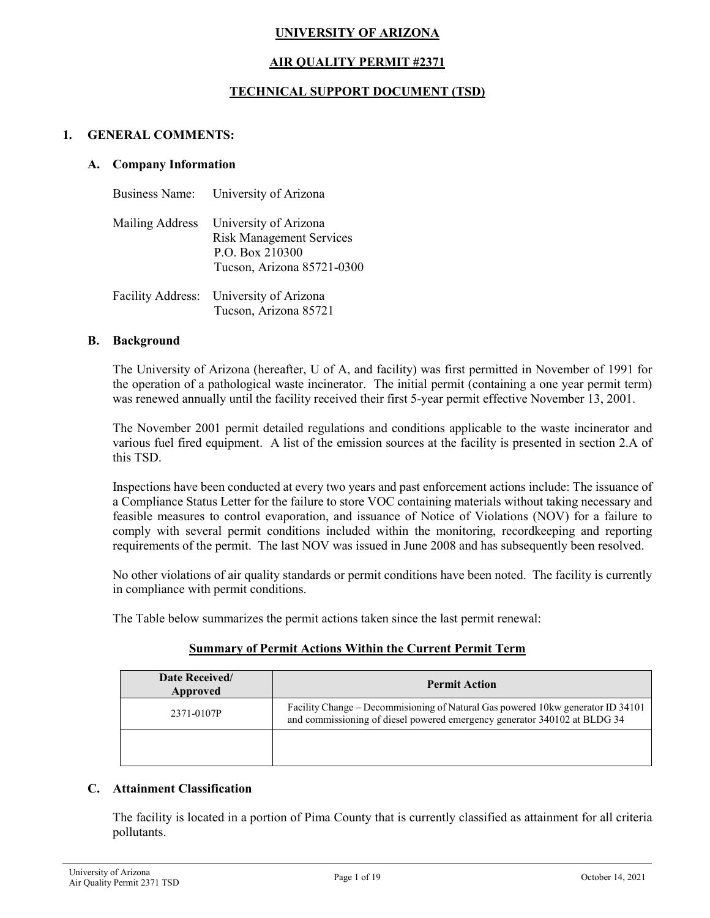# **UNIVERSITY OF ARIZONA**

## **AIR QUALITY PERMIT #2371**

### **TECHNICAL SUPPORT DOCUMENT (TSD)**

### **1. GENERAL COMMENTS:**

#### **A. Company Information**

| Business Name: University of Arizona                                                                                      |
|---------------------------------------------------------------------------------------------------------------------------|
| Mailing Address University of Arizona<br><b>Risk Management Services</b><br>P.O. Box 210300<br>Tucson, Arizona 85721-0300 |
| Facility Address: University of Arizona<br>Tucson, Arizona 85721                                                          |

#### **B. Background**

The University of Arizona (hereafter, U of A, and facility) was first permitted in November of 1991 for the operation of a pathological waste incinerator. The initial permit (containing a one year permit term) was renewed annually until the facility received their first 5-year permit effective November 13, 2001.

The November 2001 permit detailed regulations and conditions applicable to the waste incinerator and various fuel fired equipment. A list of the emission sources at the facility is presented in section 2.A of this TSD.

Inspections have been conducted at every two years and past enforcement actions include: The issuance of a Compliance Status Letter for the failure to store VOC containing materials without taking necessary and feasible measures to control evaporation, and issuance of Notice of Violations (NOV) for a failure to comply with several permit conditions included within the monitoring, recordkeeping and reporting requirements of the permit. The last NOV was issued in June 2008 and has subsequently been resolved.

No other violations of air quality standards or permit conditions have been noted. The facility is currently in compliance with permit conditions.

The Table below summarizes the permit actions taken since the last permit renewal:

#### **Summary of Permit Actions Within the Current Permit Term**

| Date Received/<br>Approved | <b>Permit Action</b>                                                                                                                                          |
|----------------------------|---------------------------------------------------------------------------------------------------------------------------------------------------------------|
| 2371-0107P                 | Facility Change – Decommissioning of Natural Gas powered 10kw generator ID 34101<br>and commissioning of diesel powered emergency generator 340102 at BLDG 34 |
|                            |                                                                                                                                                               |

### **C. Attainment Classification**

The facility is located in a portion of Pima County that is currently classified as attainment for all criteria pollutants.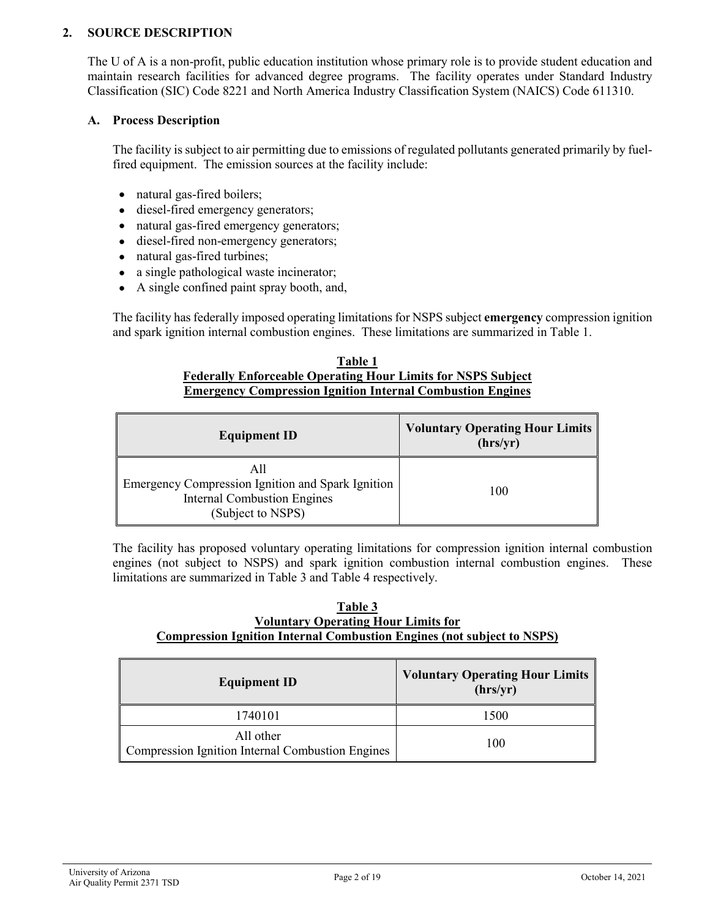## **2. SOURCE DESCRIPTION**

The U of A is a non-profit, public education institution whose primary role is to provide student education and maintain research facilities for advanced degree programs. The facility operates under Standard Industry Classification (SIC) Code 8221 and North America Industry Classification System (NAICS) Code 611310.

### **A. Process Description**

The facility is subject to air permitting due to emissions of regulated pollutants generated primarily by fuelfired equipment. The emission sources at the facility include:

- natural gas-fired boilers;
- diesel-fired emergency generators;
- natural gas-fired emergency generators;
- diesel-fired non-emergency generators;
- natural gas-fired turbines;
- a single pathological waste incinerator;
- A single confined paint spray booth, and,

The facility has federally imposed operating limitations for NSPS subject **emergency** compression ignition and spark ignition internal combustion engines. These limitations are summarized in Table 1.

#### **Table 1 Federally Enforceable Operating Hour Limits for NSPS Subject Emergency Compression Ignition Internal Combustion Engines**

| <b>Equipment ID</b>                                                                                          | <b>Voluntary Operating Hour Limits</b><br>(hrs/yr) |  |
|--------------------------------------------------------------------------------------------------------------|----------------------------------------------------|--|
| Emergency Compression Ignition and Spark Ignition<br><b>Internal Combustion Engines</b><br>(Subject to NSPS) | 100                                                |  |

The facility has proposed voluntary operating limitations for compression ignition internal combustion engines (not subject to NSPS) and spark ignition combustion internal combustion engines. These limitations are summarized in Table 3 and Table 4 respectively.

#### **Table 3 Voluntary Operating Hour Limits for Compression Ignition Internal Combustion Engines (not subject to NSPS)**

| <b>Equipment ID</b>                                           | <b>Voluntary Operating Hour Limits</b><br>(hrs/yr) |
|---------------------------------------------------------------|----------------------------------------------------|
| 1740101                                                       | 1500                                               |
| All other<br>Compression Ignition Internal Combustion Engines | 100                                                |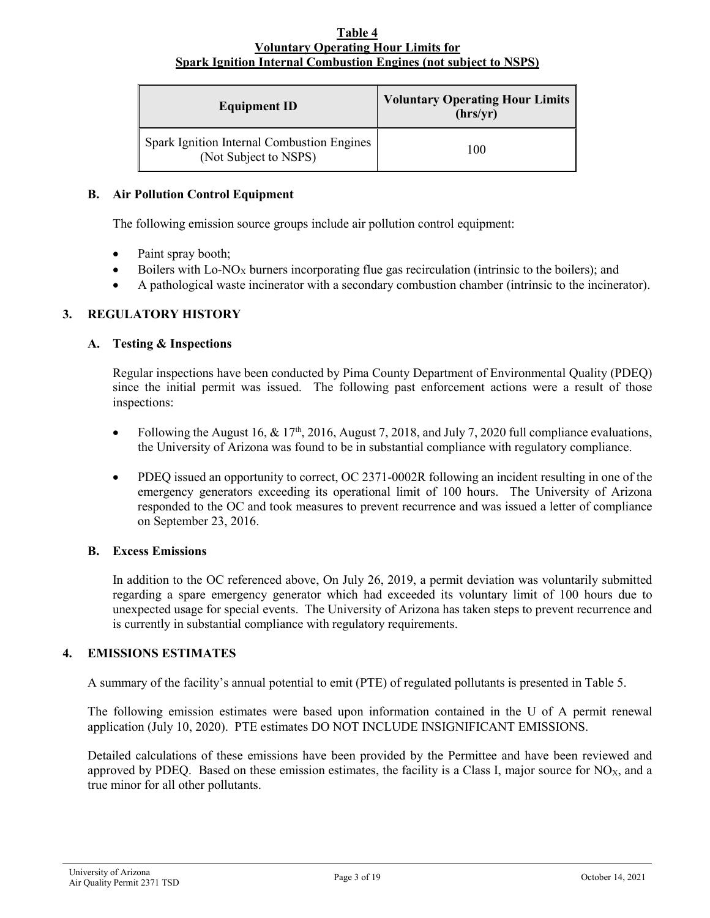#### **Table 4 Voluntary Operating Hour Limits for Spark Ignition Internal Combustion Engines (not subject to NSPS)**

| <b>Equipment ID</b>                                                 | <b>Voluntary Operating Hour Limits</b><br>(hrs/yr) |
|---------------------------------------------------------------------|----------------------------------------------------|
| Spark Ignition Internal Combustion Engines<br>(Not Subject to NSPS) | 100                                                |

### **B. Air Pollution Control Equipment**

The following emission source groups include air pollution control equipment:

- Paint spray booth;
- Boilers with  $Lo-NO<sub>X</sub>$  burners incorporating flue gas recirculation (intrinsic to the boilers); and
- A pathological waste incinerator with a secondary combustion chamber (intrinsic to the incinerator).

### **3. REGULATORY HISTORY**

### **A. Testing & Inspections**

Regular inspections have been conducted by Pima County Department of Environmental Quality (PDEQ) since the initial permit was issued. The following past enforcement actions were a result of those inspections:

- Following the August 16, & 17<sup>th</sup>, 2016, August 7, 2018, and July 7, 2020 full compliance evaluations, the University of Arizona was found to be in substantial compliance with regulatory compliance.
- PDEQ issued an opportunity to correct, OC 2371-0002R following an incident resulting in one of the emergency generators exceeding its operational limit of 100 hours. The University of Arizona responded to the OC and took measures to prevent recurrence and was issued a letter of compliance on September 23, 2016.

### **B. Excess Emissions**

In addition to the OC referenced above, On July 26, 2019, a permit deviation was voluntarily submitted regarding a spare emergency generator which had exceeded its voluntary limit of 100 hours due to unexpected usage for special events. The University of Arizona has taken steps to prevent recurrence and is currently in substantial compliance with regulatory requirements.

### **4. EMISSIONS ESTIMATES**

A summary of the facility's annual potential to emit (PTE) of regulated pollutants is presented in Table 5.

The following emission estimates were based upon information contained in the U of A permit renewal application (July 10, 2020). PTE estimates DO NOT INCLUDE INSIGNIFICANT EMISSIONS.

Detailed calculations of these emissions have been provided by the Permittee and have been reviewed and approved by PDEQ. Based on these emission estimates, the facility is a Class I, major source for  $NO<sub>X</sub>$ , and a true minor for all other pollutants.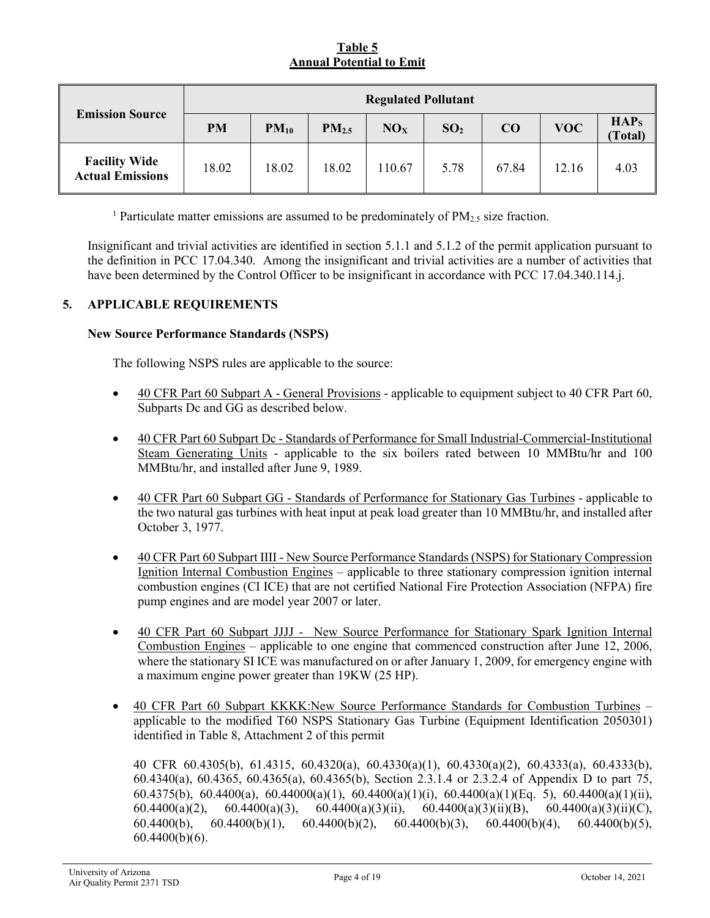# **Table 5 Annual Potential to Emit**

|                                                 | <b>Regulated Pollutant</b> |           |                   |                 |                 |       |            |                                    |
|-------------------------------------------------|----------------------------|-----------|-------------------|-----------------|-----------------|-------|------------|------------------------------------|
| <b>Emission Source</b>                          | <b>PM</b>                  | $PM_{10}$ | PM <sub>2.5</sub> | NO <sub>X</sub> | SO <sub>2</sub> | CO    | <b>VOC</b> | HAP <sub>S</sub><br><b>Total</b> ) |
| <b>Facility Wide</b><br><b>Actual Emissions</b> | 18.02                      | 18.02     | 18.02             | 110.67          | 5.78            | 67.84 | 12.16      | 4.03                               |

<sup>1</sup> Particulate matter emissions are assumed to be predominately of  $PM_{2.5}$  size fraction.

Insignificant and trivial activities are identified in section 5.1.1 and 5.1.2 of the permit application pursuant to the definition in PCC 17.04.340. Among the insignificant and trivial activities are a number of activities that have been determined by the Control Officer to be insignificant in accordance with PCC 17.04.340.114.j.

### **5. APPLICABLE REQUIREMENTS**

### **New Source Performance Standards (NSPS)**

The following NSPS rules are applicable to the source:

- 40 CFR Part 60 Subpart A General Provisions applicable to equipment subject to 40 CFR Part 60, Subparts Dc and GG as described below.
- 40 CFR Part 60 Subpart Dc Standards of Performance for Small Industrial-Commercial-Institutional Steam Generating Units - applicable to the six boilers rated between 10 MMBtu/hr and 100 MMBtu/hr, and installed after June 9, 1989.
- 40 CFR Part 60 Subpart GG Standards of Performance for Stationary Gas Turbines applicable to the two natural gas turbines with heat input at peak load greater than 10 MMBtu/hr, and installed after October 3, 1977.
- 40 CFR Part 60 Subpart IIII New Source Performance Standards (NSPS) for Stationary Compression Ignition Internal Combustion Engines – applicable to three stationary compression ignition internal combustion engines (CI ICE) that are not certified National Fire Protection Association (NFPA) fire pump engines and are model year 2007 or later.
- 40 CFR Part 60 Subpart JJJJ New Source Performance for Stationary Spark Ignition Internal Combustion Engines – applicable to one engine that commenced construction after June 12, 2006, where the stationary SI ICE was manufactured on or after January 1, 2009, for emergency engine with a maximum engine power greater than 19KW (25 HP).
- 40 CFR Part 60 Subpart KKKK:New Source Performance Standards for Combustion Turbines applicable to the modified T60 NSPS Stationary Gas Turbine (Equipment Identification 2050301) identified in Table 8, Attachment 2 of this permit

40 CFR 60.4305(b), 61.4315, 60.4320(a), 60.4330(a)(1), 60.4330(a)(2), 60.4333(a), 60.4333(b), 60.4340(a), 60.4365, 60.4365(a), 60.4365(b), Section 2.3.1.4 or 2.3.2.4 of Appendix D to part 75, 60.4375(b), 60.4400(a), 60.44000(a)(1), 60.4400(a)(1)(i), 60.4400(a)(1)(Eq. 5), 60.4400(a)(1)(ii), 60.4400(a)(2), 60.4400(a)(3), 60.4400(a)(3)(ii), 60.4400(a)(3)(ii)(B), 60.4400(a)(3)(ii)(C), 60.4400(b), 60.4400(b)(1), 60.4400(b)(2), 60.4400(b)(3), 60.4400(b)(4), 60.4400(b)(5), 60.4400(b)(6).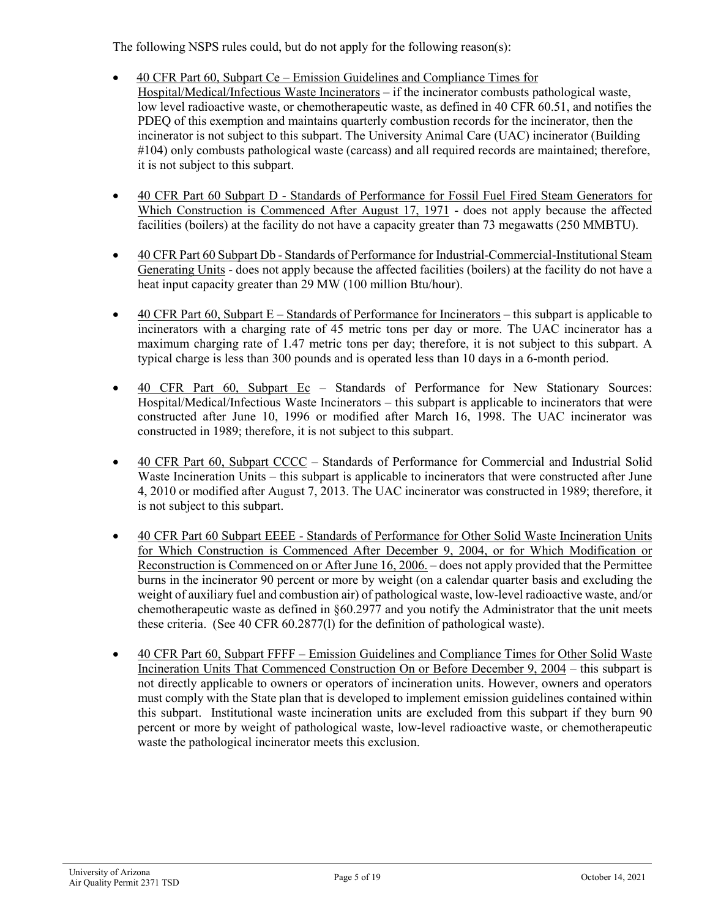The following NSPS rules could, but do not apply for the following reason(s):

- 40 CFR Part 60, Subpart Ce Emission Guidelines and Compliance Times for Hospital/Medical/Infectious Waste Incinerators – if the incinerator combusts pathological waste, low level radioactive waste, or chemotherapeutic waste, as defined in 40 CFR 60.51, and notifies the PDEQ of this exemption and maintains quarterly combustion records for the incinerator, then the incinerator is not subject to this subpart. The University Animal Care (UAC) incinerator (Building #104) only combusts pathological waste (carcass) and all required records are maintained; therefore, it is not subject to this subpart.
- 40 CFR Part 60 Subpart D Standards of Performance for Fossil Fuel Fired Steam Generators for Which Construction is Commenced After August 17, 1971 - does not apply because the affected facilities (boilers) at the facility do not have a capacity greater than 73 megawatts (250 MMBTU).
- 40 CFR Part 60 Subpart Db Standards of Performance for Industrial-Commercial-Institutional Steam Generating Units - does not apply because the affected facilities (boilers) at the facility do not have a heat input capacity greater than 29 MW (100 million Btu/hour).
- 40 CFR Part 60, Subpart E Standards of Performance for Incinerators this subpart is applicable to incinerators with a charging rate of 45 metric tons per day or more. The UAC incinerator has a maximum charging rate of 1.47 metric tons per day; therefore, it is not subject to this subpart. A typical charge is less than 300 pounds and is operated less than 10 days in a 6-month period.
- 40 CFR Part 60, Subpart Ec Standards of Performance for New Stationary Sources: Hospital/Medical/Infectious Waste Incinerators – this subpart is applicable to incinerators that were constructed after June 10, 1996 or modified after March 16, 1998. The UAC incinerator was constructed in 1989; therefore, it is not subject to this subpart.
- 40 CFR Part 60, Subpart CCCC Standards of Performance for Commercial and Industrial Solid Waste Incineration Units – this subpart is applicable to incinerators that were constructed after June 4, 2010 or modified after August 7, 2013. The UAC incinerator was constructed in 1989; therefore, it is not subject to this subpart.
- 40 CFR Part 60 Subpart EEEE Standards of Performance for Other Solid Waste Incineration Units for Which Construction is Commenced After December 9, 2004, or for Which Modification or Reconstruction is Commenced on or After June 16, 2006. – does not apply provided that the Permittee burns in the incinerator 90 percent or more by weight (on a calendar quarter basis and excluding the weight of auxiliary fuel and combustion air) of pathological waste, low-level radioactive waste, and/or chemotherapeutic waste as defined in §60.2977 and you notify the Administrator that the unit meets these criteria. (See 40 CFR 60.2877(l) for the definition of pathological waste).
- 40 CFR Part 60, Subpart FFFF Emission Guidelines and Compliance Times for Other Solid Waste Incineration Units That Commenced Construction On or Before December 9, 2004 – this subpart is not directly applicable to owners or operators of incineration units. However, owners and operators must comply with the State plan that is developed to implement emission guidelines contained within this subpart. Institutional waste incineration units are excluded from this subpart if they burn 90 percent or more by weight of pathological waste, low-level radioactive waste, or chemotherapeutic waste the pathological incinerator meets this exclusion.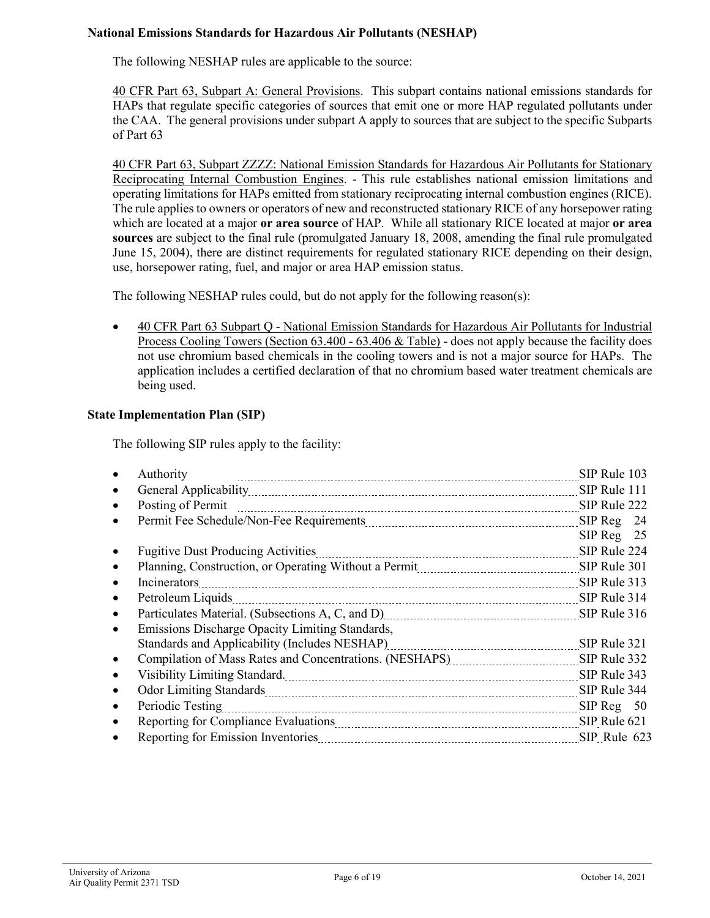# **National Emissions Standards for Hazardous Air Pollutants (NESHAP)**

The following NESHAP rules are applicable to the source:

40 CFR Part 63, Subpart A: General Provisions. This subpart contains national emissions standards for HAPs that regulate specific categories of sources that emit one or more HAP regulated pollutants under the CAA. The general provisions under subpart A apply to sources that are subject to the specific Subparts of Part 63

40 CFR Part 63, Subpart ZZZZ: National Emission Standards for Hazardous Air Pollutants for Stationary Reciprocating Internal Combustion Engines. - This rule establishes national emission limitations and operating limitations for HAPs emitted from stationary reciprocating internal combustion engines (RICE). The rule applies to owners or operators of new and reconstructed stationary RICE of any horsepower rating which are located at a major **or area source** of HAP. While all stationary RICE located at major **or area sources** are subject to the final rule (promulgated January 18, 2008, amending the final rule promulgated June 15, 2004), there are distinct requirements for regulated stationary RICE depending on their design, use, horsepower rating, fuel, and major or area HAP emission status.

The following NESHAP rules could, but do not apply for the following reason(s):

• 40 CFR Part 63 Subpart Q - National Emission Standards for Hazardous Air Pollutants for Industrial Process Cooling Towers (Section 63.400 - 63.406 & Table) - does not apply because the facility does not use chromium based chemicals in the cooling towers and is not a major source for HAPs. The application includes a certified declaration of that no chromium based water treatment chemicals are being used.

### **State Implementation Plan (SIP)**

The following SIP rules apply to the facility:

| Authority                                                                                           | SIP Rule 103 |  |
|-----------------------------------------------------------------------------------------------------|--------------|--|
|                                                                                                     | SIP Rule 111 |  |
| Posting of Permit                                                                                   | SIP Rule 222 |  |
|                                                                                                     | $SIPReg$ 24  |  |
|                                                                                                     | $SIPReg$ 25  |  |
| <b>Fugitive Dust Producing Activities</b>                                                           | SIP Rule 224 |  |
| Planning, Construction, or Operating Without a Permit Material Assemblance CIP Rule 301             |              |  |
| Incinerators                                                                                        | SIP Rule 313 |  |
| Petroleum Liquids                                                                                   | SIP Rule 314 |  |
|                                                                                                     | SIP Rule 316 |  |
| Emissions Discharge Opacity Limiting Standards,                                                     |              |  |
| Standards and Applicability (Includes NESHAP)                                                       | SIP Rule 321 |  |
|                                                                                                     | SIP Rule 332 |  |
| Visibility Limiting Standard. 1997. The Contract of the Standard Management of the United Standard. | SIP Rule 343 |  |
|                                                                                                     | SIP Rule 344 |  |
| Periodic Testing                                                                                    | SIPReg 50    |  |
|                                                                                                     | SIP Rule 621 |  |
|                                                                                                     | SIP Rule 623 |  |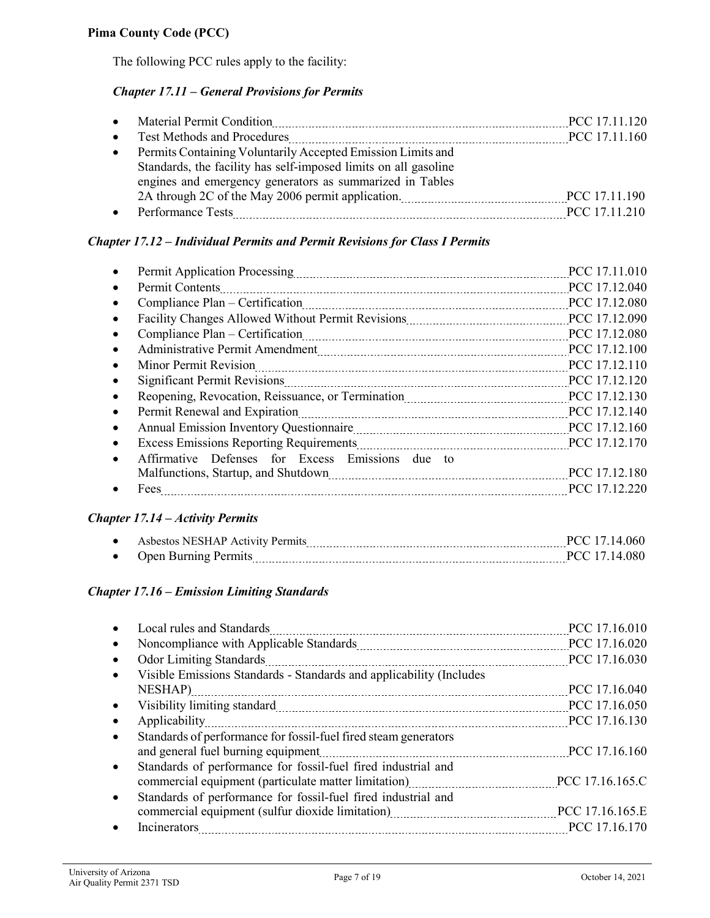The following PCC rules apply to the facility:

# *Chapter 17.11 – General Provisions for Permits*

|           | • Material Permit Condition                                     | PCC 17.11.120 |
|-----------|-----------------------------------------------------------------|---------------|
| $\bullet$ | <b>Test Methods and Procedures</b>                              | PCC 17.11.160 |
| $\bullet$ | Permits Containing Voluntarily Accepted Emission Limits and     |               |
|           | Standards, the facility has self-imposed limits on all gasoline |               |
|           | engines and emergency generators as summarized in Tables        |               |
|           |                                                                 | PCC 17.11.190 |
|           | Performance Tests                                               | PCC 17.11.210 |
|           |                                                                 |               |

# *Chapter 17.12 – Individual Permits and Permit Revisions for Class I Permits*

| Permit Application Processing                                 | PCC 17.11.010 |
|---------------------------------------------------------------|---------------|
| Permit Contents                                               | PCC 17.12.040 |
| Compliance Plan – Certification                               | PCC 17.12.080 |
|                                                               | PCC 17.12.090 |
|                                                               | PCC 17.12.080 |
|                                                               | PCC 17.12.100 |
| Minor Permit Revision<br>$\bullet$                            | PCC 17.12.110 |
|                                                               | PCC 17.12.120 |
| $\bullet$                                                     | PCC 17.12.130 |
|                                                               | PCC 17.12.140 |
| $\bullet$                                                     | PCC 17.12.160 |
|                                                               | PCC 17.12.170 |
| Affirmative Defenses for Excess Emissions due to<br>$\bullet$ |               |
|                                                               | PCC 17.12.180 |
| Fees                                                          | PCC 17.12.220 |

### *Chapter 17.14 – Activity Permits*

| $\bullet$ | Ashestos NESHAP Activity Permits<br>--------<br>---  | $\mathbf{u}$ |
|-----------|------------------------------------------------------|--------------|
| $\bullet$ | . Inen<br>$1.11$ and $1.01$ $\sim$<br>.<br>--------- | זי זנו       |

### *Chapter 17.16 – Emission Limiting Standards*

|                                                                         | PCC 17.16.010   |
|-------------------------------------------------------------------------|-----------------|
|                                                                         | PCC 17.16.020   |
| <b>Odor Limiting Standards</b><br>------------------------------------- | PCC 17.16.030   |
| Visible Emissions Standards - Standards and applicability (Includes     |                 |
| NESHAP)                                                                 | PCC 17.16.040   |
|                                                                         | PCC 17.16.050   |
| Applicability                                                           | PCC 17.16.130   |
| Standards of performance for fossil-fuel fired steam generators         |                 |
| and general fuel burning equipment                                      | PCC 17.16.160   |
| Standards of performance for fossil-fuel fired industrial and           |                 |
| commercial equipment (particulate matter limitation)                    | PCC 17.16.165.C |
| Standards of performance for fossil-fuel fired industrial and           |                 |
|                                                                         | PCC 17.16.165.E |
| Incinerators                                                            | PCC 17.16.170   |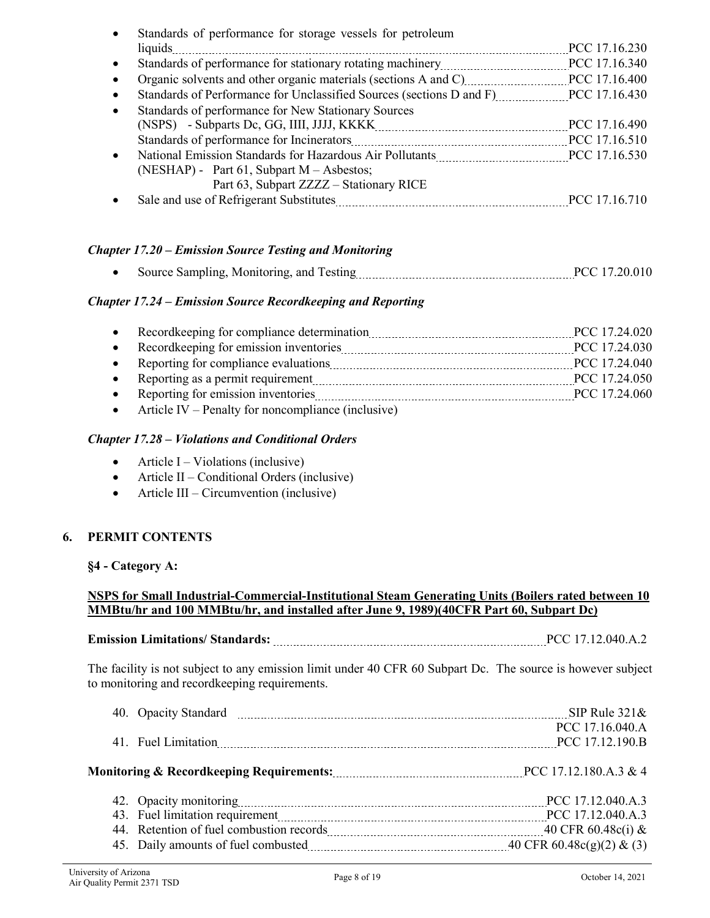| Standards of performance for storage vessels for petroleum                    |                    |
|-------------------------------------------------------------------------------|--------------------|
| liquids                                                                       | PCC 17.16.230      |
| Standards of performance for stationary rotating machinery                    | PCC 17.16.340<br>. |
| Organic solvents and other organic materials (sections A and C) PCC 17.16.400 |                    |
|                                                                               |                    |
| Standards of performance for New Stationary Sources                           |                    |
|                                                                               | PCC 17.16.490      |
| Standards of performance for Incinerators                                     | PCC 17.16.510      |
|                                                                               | PCC 17.16.530      |
| (NESHAP) - Part 61, Subpart $M - As$ bestos;                                  |                    |
| Part 63, Subpart ZZZZ - Stationary RICE                                       |                    |
| Sale and use of Refrigerant Substitutes                                       | PCC 17.16.710      |

# *Chapter 17.20 – Emission Source Testing and Monitoring*

• Source Sampling, Monitoring, and Testing matches and the PCC 17.20.010

# *Chapter 17.24 – Emission Source Recordkeeping and Reporting*

|                                                                                                                                     | PCC 17.24.020 |
|-------------------------------------------------------------------------------------------------------------------------------------|---------------|
|                                                                                                                                     | PCC 17.24.030 |
| Reporting for compliance evaluations                                                                                                | PCC 17.24.040 |
| Reporting as a permit requirement <i>manual container container as a permit requirement</i>                                         | PCC 17.24.050 |
| Reporting for emission inventories                                                                                                  | PCC 17.24.060 |
| $\mathbf{A}$ and $\mathbf{B}$ and $\mathbf{B}$ and $\mathbf{C}$ and $\mathbf{C}$ and $\mathbf{C}$ and $\mathbf{C}$ and $\mathbf{C}$ |               |

• Article IV – Penalty for noncompliance (inclusive)

### *Chapter 17.28 – Violations and Conditional Orders*

- Article I Violations (inclusive)
- Article II Conditional Orders (inclusive)
- Article III Circumvention (inclusive)

### **6. PERMIT CONTENTS**

### **§4 - Category A:**

# **NSPS for Small Industrial-Commercial-Institutional Steam Generating Units (Boilers rated between 10 MMBtu/hr and 100 MMBtu/hr, and installed after June 9, 1989)(40CFR Part 60, Subpart Dc)**

# **Emission Limitations/ Standards:** PCC 17.12.040.A.2

The facility is not subject to any emission limit under 40 CFR 60 Subpart Dc. The source is however subject to monitoring and recordkeeping requirements.

|                                                                    | SIP Rule $321\&$                   |
|--------------------------------------------------------------------|------------------------------------|
|                                                                    | PCC 17.16.040.A<br>PCC 17.12.190.B |
|                                                                    |                                    |
|                                                                    |                                    |
| 43. Fuel limitation requirement manufactured and pCC 17.12.040.A.3 |                                    |
|                                                                    | 40 CFR $60.48c(i)$ &               |
|                                                                    |                                    |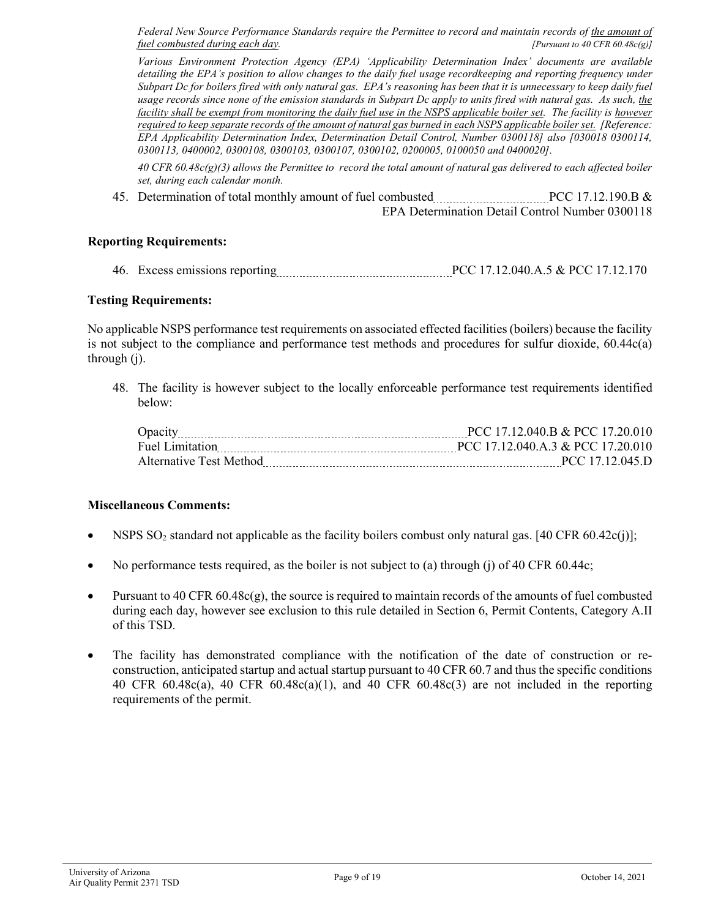Federal New Source Performance Standards require the Permittee to record and maintain records of the amount of *fuel combusted during each day. [Pursuant to 40 CFR 60.48c(g)]*

*Various Environment Protection Agency (EPA) 'Applicability Determination Index' documents are available detailing the EPA's position to allow changes to the daily fuel usage recordkeeping and reporting frequency under Subpart Dc for boilers fired with only natural gas. EPA's reasoning has been that it is unnecessary to keep daily fuel usage records since none of the emission standards in Subpart Dc apply to units fired with natural gas. As such, the facility shall be exempt from monitoring the daily fuel use in the NSPS applicable boiler set. The facility is however required to keep separate records of the amount of natural gas burned in each NSPS applicable boiler set. [Reference: EPA Applicability Determination Index, Determination Detail Control, Number 0300118] also [030018 0300114, 0300113, 0400002, 0300108, 0300103, 0300107, 0300102, 0200005, 0100050 and 0400020].*

*40 CFR 60.48c(g)(3) allows the Permittee to record the total amount of natural gas delivered to each affected boiler set, during each calendar month.*

45. Determination of total monthly amount of fuel combusted **PCC 17.12.190.8** & EPA Determination Detail Control Number 0300118

#### **Reporting Requirements:**

46. Excess emissions reporting PCC 17.12.040.A.5 & PCC 17.12.170

#### **Testing Requirements:**

No applicable NSPS performance test requirements on associated effected facilities (boilers) because the facility is not subject to the compliance and performance test methods and procedures for sulfur dioxide, 60.44c(a) through (j).

48. The facility is however subject to the locally enforceable performance test requirements identified below:

| Opacity                 | PCC 17.12.040.B & PCC 17.20.010   |
|-------------------------|-----------------------------------|
| Fuel Limitation         | PCC 17.12.040.A.3 & PCC 17.20.010 |
| Alternative Test Method | PCC 17.12.045.D                   |

#### **Miscellaneous Comments:**

- NSPS SO<sub>2</sub> standard not applicable as the facility boilers combust only natural gas. [40 CFR 60.42c(j)];
- No performance tests required, as the boiler is not subject to (a) through (j) of 40 CFR 60.44c;
- Pursuant to 40 CFR 60.48c(g), the source is required to maintain records of the amounts of fuel combusted during each day, however see exclusion to this rule detailed in Section 6, Permit Contents, Category A.II of this TSD.
- The facility has demonstrated compliance with the notification of the date of construction or reconstruction, anticipated startup and actual startup pursuant to 40 CFR 60.7 and thus the specific conditions 40 CFR 60.48c(a), 40 CFR 60.48c(a)(1), and 40 CFR 60.48c(3) are not included in the reporting requirements of the permit.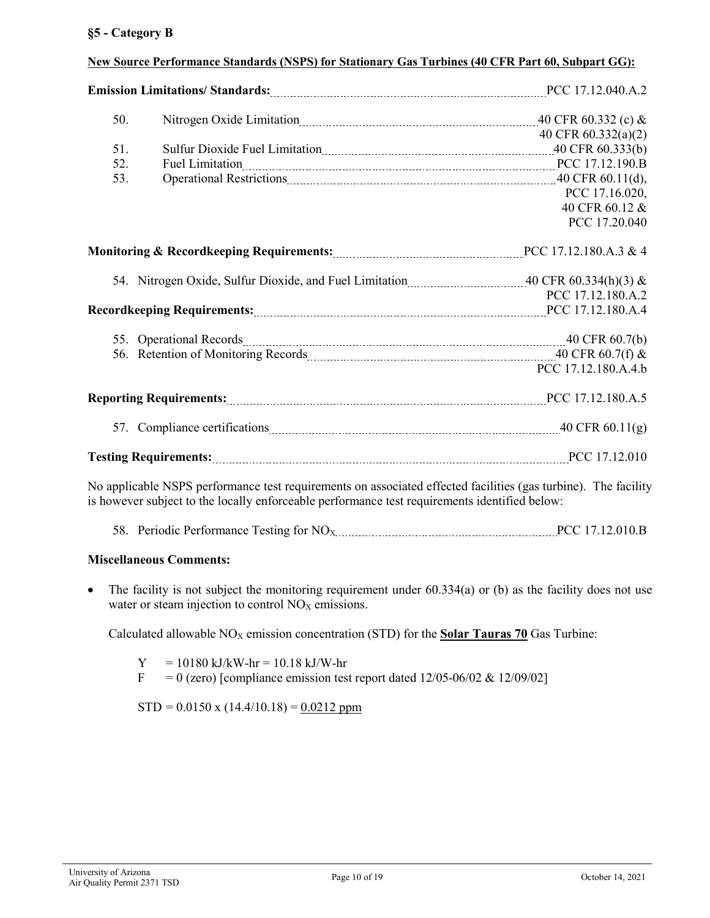# **§5 - Category B**

| 50.                                                                                                                                                                                                             |                                                                                    |                     |
|-----------------------------------------------------------------------------------------------------------------------------------------------------------------------------------------------------------------|------------------------------------------------------------------------------------|---------------------|
|                                                                                                                                                                                                                 |                                                                                    | 40 CFR 60.332(a)(2) |
| 51.                                                                                                                                                                                                             | Sulfur Dioxide Fuel Limitation manufacture and the United States (40 CFR 60.333(b) |                     |
| 52.                                                                                                                                                                                                             | Fuel Limitation 2000 PCC 17.12.190.B                                               |                     |
| 53.                                                                                                                                                                                                             |                                                                                    |                     |
|                                                                                                                                                                                                                 |                                                                                    | PCC 17.16.020,      |
|                                                                                                                                                                                                                 |                                                                                    | 40 CFR 60.12 &      |
|                                                                                                                                                                                                                 |                                                                                    | PCC 17.20.040       |
|                                                                                                                                                                                                                 |                                                                                    |                     |
|                                                                                                                                                                                                                 |                                                                                    |                     |
|                                                                                                                                                                                                                 |                                                                                    | PCC 17.12.180.A.2   |
|                                                                                                                                                                                                                 |                                                                                    |                     |
|                                                                                                                                                                                                                 |                                                                                    |                     |
|                                                                                                                                                                                                                 |                                                                                    |                     |
|                                                                                                                                                                                                                 |                                                                                    | PCC 17.12.180.A.4.b |
| <b>Reporting Requirements:</b> <i>maching maching manuffect</i> 17.12.180.A.5                                                                                                                                   |                                                                                    |                     |
|                                                                                                                                                                                                                 |                                                                                    |                     |
|                                                                                                                                                                                                                 |                                                                                    |                     |
| No applicable NSPS performance test requirements on associated effected facilities (gas turbine). The facility<br>is however subject to the locally enforceable performance test requirements identified below: |                                                                                    |                     |

### **New Source Performance Standards (NSPS) for Stationary Gas Turbines (40 CFR Part 60, Subpart GG):**

58. Periodic Performance Testing for  $NO_{X}$  PCC 17.12.010.B

### **Miscellaneous Comments:**

• The facility is not subject the monitoring requirement under  $60.334(a)$  or (b) as the facility does not use water or steam injection to control  $NO<sub>X</sub>$  emissions.

Calculated allowable  $NO<sub>X</sub>$  emission concentration (STD) for the **Solar Tauras 70** Gas Turbine:

 $Y = 10180 \text{ kJ/kW-hr} = 10.18 \text{ kJ/W-hr}$  $F = 0$  (zero) [compliance emission test report dated 12/05-06/02 & 12/09/02]

 $STD = 0.0150 \text{ x } (14.4/10.18) = 0.0212 \text{ ppm}$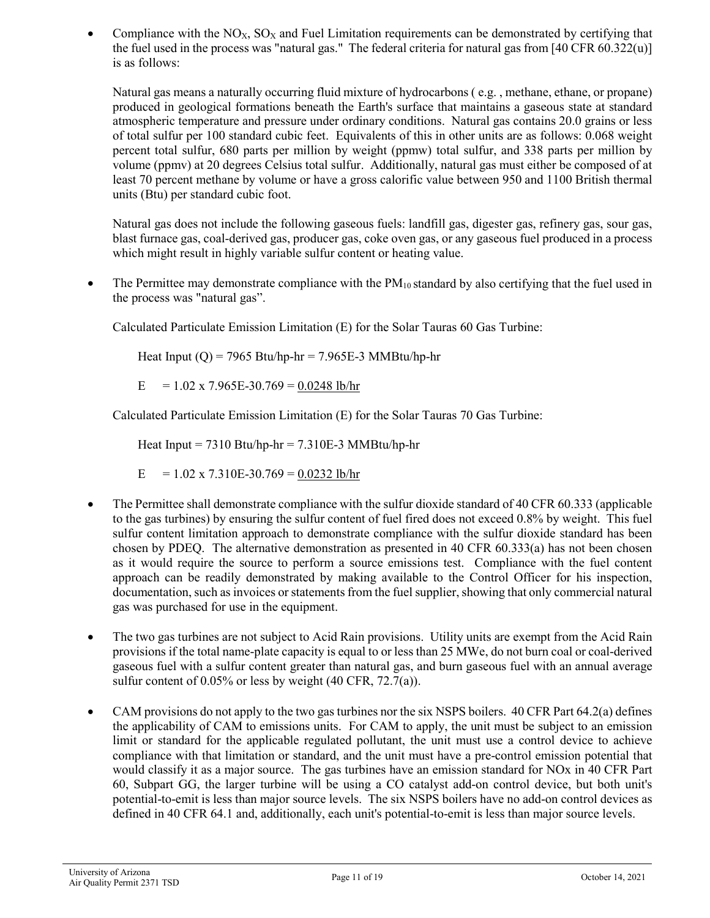Compliance with the  $NO<sub>X</sub>$ ,  $SO<sub>X</sub>$  and Fuel Limitation requirements can be demonstrated by certifying that the fuel used in the process was "natural gas." The federal criteria for natural gas from [40 CFR 60.322(u)] is as follows:

Natural gas means a naturally occurring fluid mixture of hydrocarbons ( e.g. , methane, ethane, or propane) produced in geological formations beneath the Earth's surface that maintains a gaseous state at standard atmospheric temperature and pressure under ordinary conditions. Natural gas contains 20.0 grains or less of total sulfur per 100 standard cubic feet. Equivalents of this in other units are as follows: 0.068 weight percent total sulfur, 680 parts per million by weight (ppmw) total sulfur, and 338 parts per million by volume (ppmv) at 20 degrees Celsius total sulfur. Additionally, natural gas must either be composed of at least 70 percent methane by volume or have a gross calorific value between 950 and 1100 British thermal units (Btu) per standard cubic foot.

Natural gas does not include the following gaseous fuels: landfill gas, digester gas, refinery gas, sour gas, blast furnace gas, coal-derived gas, producer gas, coke oven gas, or any gaseous fuel produced in a process which might result in highly variable sulfur content or heating value.

• The Permittee may demonstrate compliance with the  $PM_{10}$  standard by also certifying that the fuel used in the process was "natural gas".

Calculated Particulate Emission Limitation (E) for the Solar Tauras 60 Gas Turbine:

Heat Input  $(Q)$  = 7965 Btu/hp-hr = 7.965E-3 MMBtu/hp-hr

 $E = 1.02 \times 7.965E - 30.769 = 0.0248$  lb/hr

Calculated Particulate Emission Limitation (E) for the Solar Tauras 70 Gas Turbine:

Heat Input =  $7310$  Btu/hp-hr =  $7.310E-3$  MMBtu/hp-hr

 $E = 1.02 \times 7.310E - 30.769 = 0.0232 \text{ lb/hr}$ 

- The Permittee shall demonstrate compliance with the sulfur dioxide standard of 40 CFR 60.333 (applicable to the gas turbines) by ensuring the sulfur content of fuel fired does not exceed 0.8% by weight. This fuel sulfur content limitation approach to demonstrate compliance with the sulfur dioxide standard has been chosen by PDEQ. The alternative demonstration as presented in 40 CFR 60.333(a) has not been chosen as it would require the source to perform a source emissions test. Compliance with the fuel content approach can be readily demonstrated by making available to the Control Officer for his inspection, documentation, such as invoices or statements from the fuel supplier, showing that only commercial natural gas was purchased for use in the equipment.
- The two gas turbines are not subject to Acid Rain provisions. Utility units are exempt from the Acid Rain provisions if the total name-plate capacity is equal to or less than 25 MWe, do not burn coal or coal-derived gaseous fuel with a sulfur content greater than natural gas, and burn gaseous fuel with an annual average sulfur content of 0.05% or less by weight (40 CFR, 72.7(a)).
- CAM provisions do not apply to the two gas turbines nor the six NSPS boilers. 40 CFR Part 64.2(a) defines the applicability of CAM to emissions units. For CAM to apply, the unit must be subject to an emission limit or standard for the applicable regulated pollutant, the unit must use a control device to achieve compliance with that limitation or standard, and the unit must have a pre-control emission potential that would classify it as a major source. The gas turbines have an emission standard for NOx in 40 CFR Part 60, Subpart GG, the larger turbine will be using a CO catalyst add-on control device, but both unit's potential-to-emit is less than major source levels. The six NSPS boilers have no add-on control devices as defined in 40 CFR 64.1 and, additionally, each unit's potential-to-emit is less than major source levels.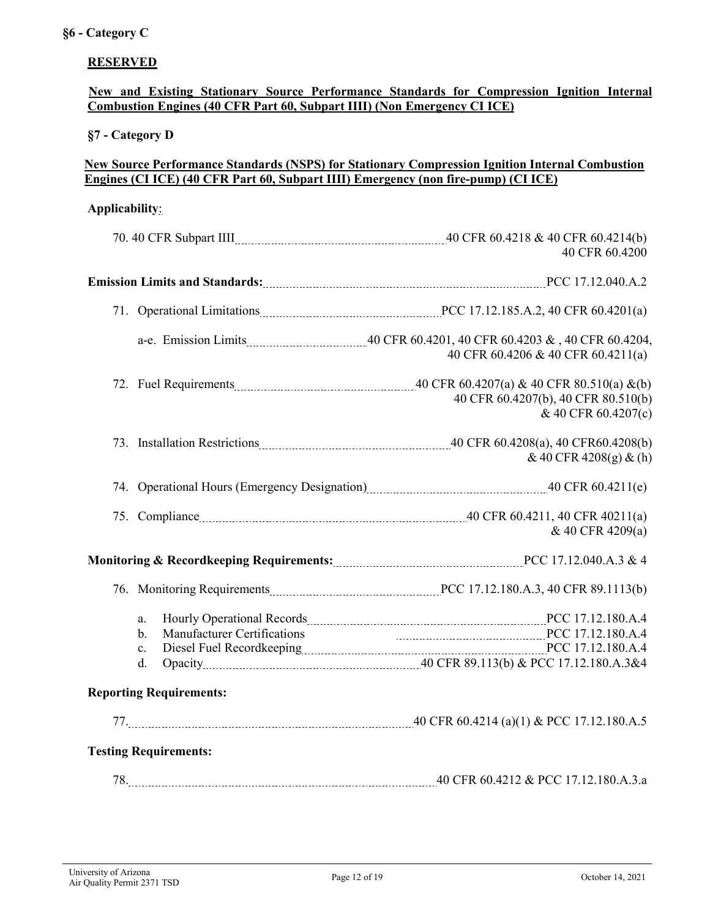# **RESERVED**

# **New and Existing Stationary Source Performance Standards for Compression Ignition Internal Combustion Engines (40 CFR Part 60, Subpart IIII) (Non Emergency CI ICE)**

# **§7 - Category D**

# **New Source Performance Standards (NSPS) for Stationary Compression Ignition Internal Combustion Engines (CI ICE) (40 CFR Part 60, Subpart IIII) Emergency (non fire-pump) (CI ICE)**

### **Applicability**:

|                                                                       | 40 CFR 60.4200                                                                         |
|-----------------------------------------------------------------------|----------------------------------------------------------------------------------------|
|                                                                       |                                                                                        |
|                                                                       |                                                                                        |
|                                                                       | 40 CFR 60.4206 & 40 CFR 60.4211(a)                                                     |
|                                                                       | 40 CFR 60.4207(b), 40 CFR 80.510(b)<br>& 40 CFR 60.4207(c)                             |
|                                                                       | $& 40 \text{ CFR } 4208(g) \& (h)$                                                     |
|                                                                       | 74. Operational Hours (Emergency Designation) [2013] The Mass (2014) 40 CFR 60.4211(e) |
|                                                                       | 75. Compliance 2011(a) 25. Compliance 2011(a)<br>& 40 CFR 4209(a)                      |
|                                                                       |                                                                                        |
|                                                                       |                                                                                        |
| a.<br><b>Manufacturer Certifications</b><br>$\mathbf b$ .<br>c.<br>d. | PCC 17.12.180.A.4                                                                      |
| <b>Reporting Requirements:</b>                                        |                                                                                        |
|                                                                       |                                                                                        |
| <b>Testing Requirements:</b>                                          |                                                                                        |
|                                                                       |                                                                                        |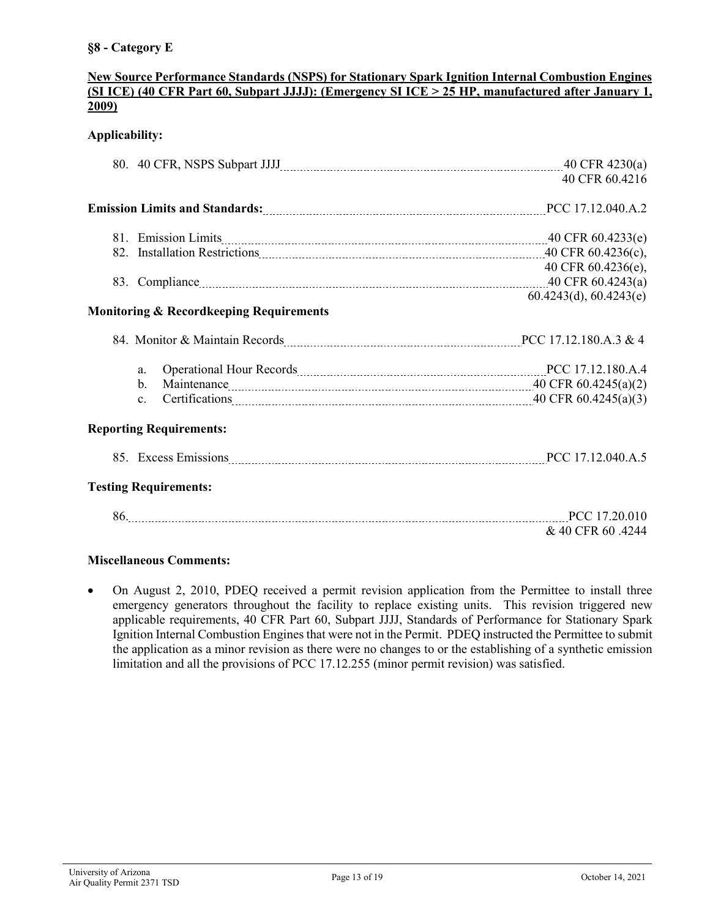# **§8 - Category E**

### **New Source Performance Standards (NSPS) for Stationary Spark Ignition Internal Combustion Engines (SI ICE) (40 CFR Part 60, Subpart JJJJ): (Emergency SI ICE > 25 HP, manufactured after January 1, 2009)**

# **Applicability:**

|                                                                                                                 | 40 CFR 60.4216         |
|-----------------------------------------------------------------------------------------------------------------|------------------------|
|                                                                                                                 |                        |
| 81. Emission Limits 2008. The Marian Contract of the Second Limits 2008. The Marian Contract 2008. The Second A |                        |
|                                                                                                                 |                        |
|                                                                                                                 | 40 CFR 60.4236(e),     |
|                                                                                                                 |                        |
|                                                                                                                 | 60.4243(d), 60.4243(e) |
| <b>Monitoring &amp; Recordkeeping Requirements</b>                                                              |                        |
|                                                                                                                 |                        |
| Operational Hour Records [11, 12.180.A.4]<br>a.                                                                 |                        |
| $\mathbf{b}$ .                                                                                                  |                        |
| $\mathbf{c}$ .                                                                                                  |                        |
| <b>Reporting Requirements:</b>                                                                                  |                        |
| 85. Excess Emissions <b>Excess Emissions</b> PCC 17.12.040.A.5                                                  |                        |
| <b>Testing Requirements:</b>                                                                                    |                        |
| 86. PCC 17.20.010                                                                                               |                        |
|                                                                                                                 | & 40 CFR 60 .4244      |
|                                                                                                                 |                        |

### **Miscellaneous Comments:**

• On August 2, 2010, PDEQ received a permit revision application from the Permittee to install three emergency generators throughout the facility to replace existing units. This revision triggered new applicable requirements, 40 CFR Part 60, Subpart JJJJ, Standards of Performance for Stationary Spark Ignition Internal Combustion Engines that were not in the Permit. PDEQ instructed the Permittee to submit the application as a minor revision as there were no changes to or the establishing of a synthetic emission limitation and all the provisions of PCC 17.12.255 (minor permit revision) was satisfied.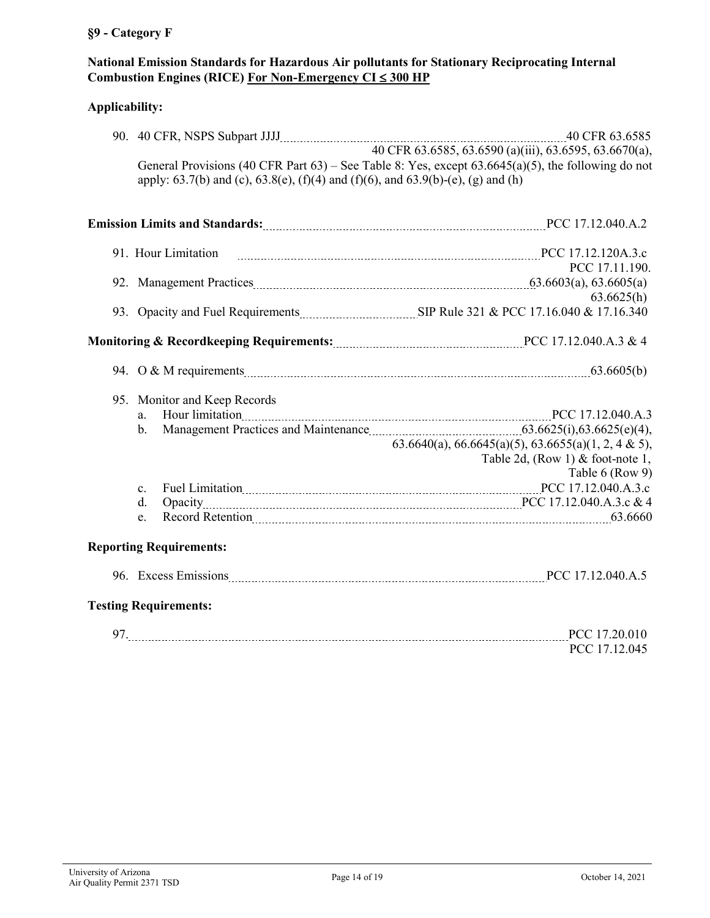# **§9 - Category F**

# **National Emission Standards for Hazardous Air pollutants for Stationary Reciprocating Internal Combustion Engines (RICE) For Non-Emergency CI** ≤ **300 HP**

# **Applicability:**

| apply: 63.7(b) and (c), 63.8(e), (f)(4) and (f)(6), and 63.9(b)-(e), (g) and (h) | General Provisions (40 CFR Part 63) – See Table 8: Yes, except $63.6645(a)(5)$ , the following do not |
|----------------------------------------------------------------------------------|-------------------------------------------------------------------------------------------------------|
|                                                                                  |                                                                                                       |
| 91. Hour Limitation                                                              |                                                                                                       |
|                                                                                  | PCC 17.11.190.                                                                                        |
|                                                                                  |                                                                                                       |
|                                                                                  | 63.6625(h)                                                                                            |
|                                                                                  |                                                                                                       |
|                                                                                  |                                                                                                       |
|                                                                                  |                                                                                                       |
| 95. Monitor and Keep Records                                                     |                                                                                                       |
| a.                                                                               |                                                                                                       |
| $h_{-}$                                                                          |                                                                                                       |
|                                                                                  | 63.6640(a), 66.6645(a)(5), 63.6655(a)(1, 2, 4 & 5),                                                   |
|                                                                                  | Table 2d, (Row 1) & foot-note 1,                                                                      |
|                                                                                  | Table 6 (Row 9)                                                                                       |
| $\mathbf{c}$ .                                                                   |                                                                                                       |
| d.                                                                               |                                                                                                       |
| e.                                                                               |                                                                                                       |
| <b>Reporting Requirements:</b>                                                   |                                                                                                       |
|                                                                                  |                                                                                                       |
|                                                                                  |                                                                                                       |

## **Testing Requirements:**

| 97 | ,,,            |
|----|----------------|
|    | D1<br>ĸ<br>ن ا |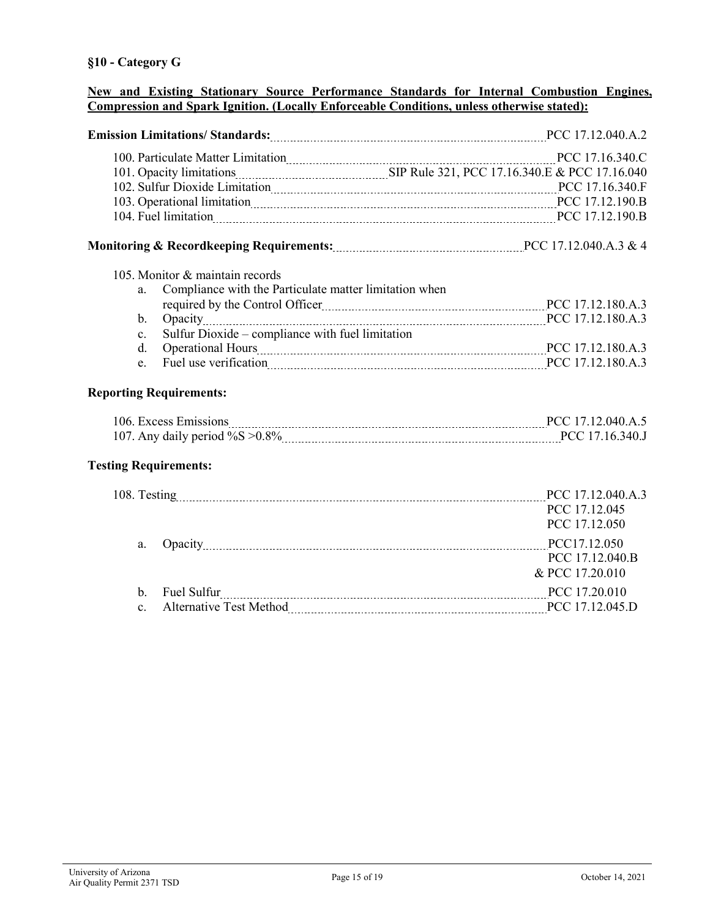### **New and Existing Stationary Source Performance Standards for Internal Combustion Engines, Compression and Spark Ignition. (Locally Enforceable Conditions, unless otherwise stated):**

| Emission Limitations/ Standards: [17.12.040.A.2] PCC 17.12.040.A.2                         |                 |
|--------------------------------------------------------------------------------------------|-----------------|
| 100. Particulate Matter Limitation 100. PCC 17.16.340.C                                    |                 |
| 101. Opacity limitations <b>Material SEP Rule 321, PCC 17.16.340.E &amp; PCC 17.16.040</b> |                 |
|                                                                                            |                 |
| 103. Operational limitation manufacture and all properties are pCC 17.12.190.B             |                 |
|                                                                                            |                 |
|                                                                                            |                 |
| 105. Monitor & maintain records                                                            |                 |
| Compliance with the Particulate matter limitation when<br>a.                               |                 |
|                                                                                            |                 |
| Opacity 2017.12.180.A.3<br>$\mathbf{b}$ .                                                  |                 |
| Sulfur Dioxide – compliance with fuel limitation<br>$c_{\cdot}$                            |                 |
| $d_{-}$                                                                                    |                 |
| e.                                                                                         |                 |
| <b>Reporting Requirements:</b>                                                             |                 |
|                                                                                            |                 |
|                                                                                            |                 |
| <b>Testing Requirements:</b>                                                               |                 |
|                                                                                            |                 |
|                                                                                            | PCC 17.12.045   |
|                                                                                            | PCC 17.12.050   |
| a.                                                                                         | PCC17.12.050    |
|                                                                                            | PCC 17.12.040.B |
|                                                                                            | & PCC 17.20.010 |
| Fuel Sulfur PCC 17.20.010<br>$\mathbf{b}$ .                                                |                 |
| $\mathbf{c}$ .                                                                             |                 |
|                                                                                            |                 |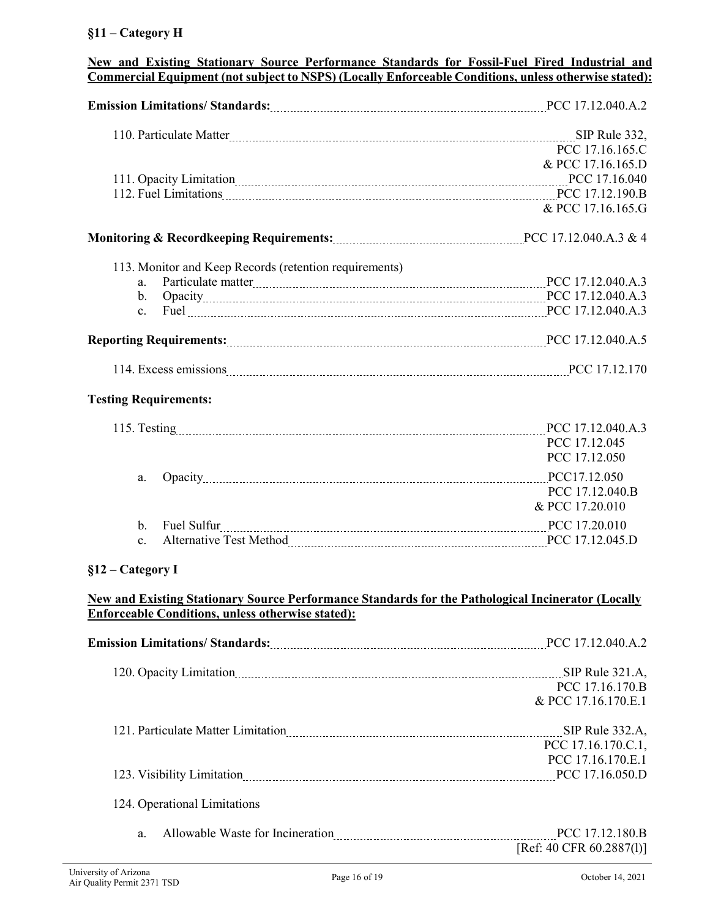# **§11 – Category H**

| New and Existing Stationary Source Performance Standards for Fossil-Fuel Fired Industrial and<br>Commercial Equipment (not subject to NSPS) (Locally Enforceable Conditions, unless otherwise stated):                         |                          |  |
|--------------------------------------------------------------------------------------------------------------------------------------------------------------------------------------------------------------------------------|--------------------------|--|
| Emission Limitations/ Standards: 2008 March 2017 (2017) 2014 March 2018 March 2018 March 2018 March 2018 March 2018 March 2018 March 2018 March 2018 March 2018 March 2019 March 2019 March 2019 March 2019 March 2019 March 2 |                          |  |
|                                                                                                                                                                                                                                |                          |  |
|                                                                                                                                                                                                                                | PCC 17.16.165.C          |  |
|                                                                                                                                                                                                                                | & PCC 17.16.165.D        |  |
|                                                                                                                                                                                                                                |                          |  |
|                                                                                                                                                                                                                                |                          |  |
|                                                                                                                                                                                                                                | & PCC 17.16.165.G        |  |
|                                                                                                                                                                                                                                |                          |  |
| 113. Monitor and Keep Records (retention requirements)                                                                                                                                                                         |                          |  |
| Particulate matter 1.12.040.A.3<br>a.                                                                                                                                                                                          |                          |  |
| $\mathbf b$ .                                                                                                                                                                                                                  |                          |  |
| $c_{\cdot}$                                                                                                                                                                                                                    |                          |  |
|                                                                                                                                                                                                                                |                          |  |
|                                                                                                                                                                                                                                |                          |  |
| <b>Testing Requirements:</b>                                                                                                                                                                                                   |                          |  |
|                                                                                                                                                                                                                                |                          |  |
|                                                                                                                                                                                                                                | PCC 17.12.045            |  |
|                                                                                                                                                                                                                                | PCC 17.12.050            |  |
| a.                                                                                                                                                                                                                             |                          |  |
|                                                                                                                                                                                                                                | PCC 17.12.040.B          |  |
|                                                                                                                                                                                                                                | & PCC 17.20.010          |  |
| Fuel Sulfur PCC 17.20.010<br>$\mathbf{b}$ .                                                                                                                                                                                    |                          |  |
| $\mathbf{c}$ .                                                                                                                                                                                                                 |                          |  |
| $§12 - \text{Category I}$                                                                                                                                                                                                      |                          |  |
| New and Existing Stationary Source Performance Standards for the Pathological Incinerator (Locally<br><b>Enforceable Conditions, unless otherwise stated):</b>                                                                 |                          |  |
| Emission Limitations/ Standards: [10] PCC 17.12.040.A.2                                                                                                                                                                        |                          |  |
| 120. Opacity Limitation 2010 Communication and SIP Rule 321.A,                                                                                                                                                                 |                          |  |
|                                                                                                                                                                                                                                | PCC 17.16.170.B          |  |
|                                                                                                                                                                                                                                | & PCC 17.16.170.E.1      |  |
| 121. Particulate Matter Limitation [10] March 121. Particular SIP Rule 332.A,                                                                                                                                                  |                          |  |
|                                                                                                                                                                                                                                | PCC 17.16.170.C.1,       |  |
|                                                                                                                                                                                                                                | PCC 17.16.170.E.1        |  |
| 123. Visibility Limitation 2000 Marshall PCC 17.16.050.D                                                                                                                                                                       |                          |  |
| 124. Operational Limitations                                                                                                                                                                                                   |                          |  |
| Allowable Waste for Incineration manufacture and PCC 17.12.180.B<br>a.                                                                                                                                                         |                          |  |
|                                                                                                                                                                                                                                | [Ref: 40 CFR 60.2887(1)] |  |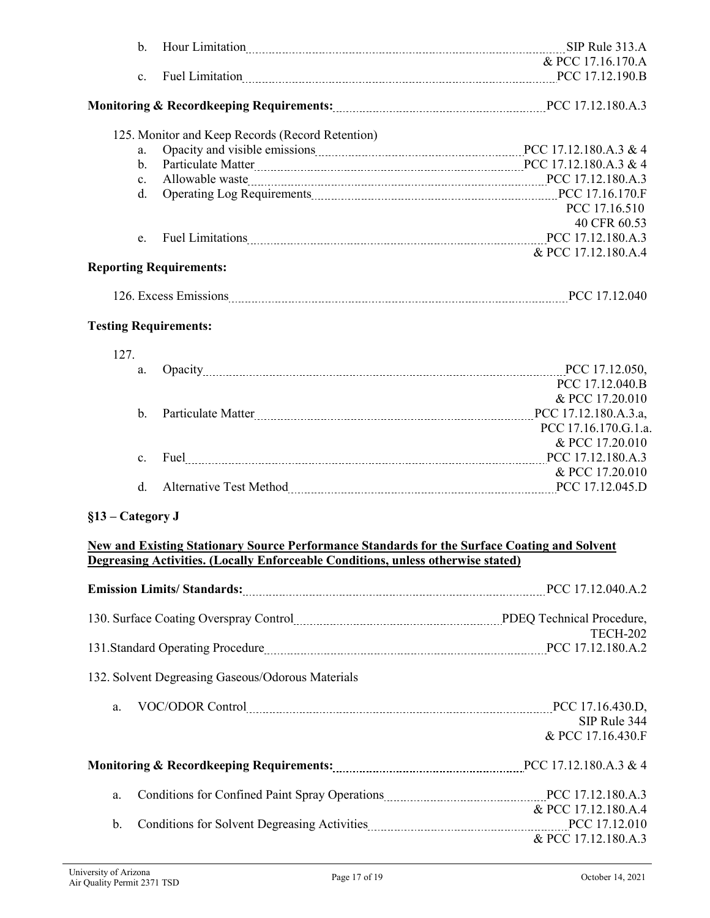|                                | $\mathbf{b}$ . |                                                                                                     |                      |
|--------------------------------|----------------|-----------------------------------------------------------------------------------------------------|----------------------|
|                                |                |                                                                                                     | & PCC 17.16.170.A    |
|                                | c.             | Fuel Limitation 2000 B                                                                              |                      |
|                                |                |                                                                                                     |                      |
|                                |                |                                                                                                     |                      |
|                                |                | 125. Monitor and Keep Records (Record Retention)                                                    |                      |
|                                | a.             |                                                                                                     |                      |
|                                | b.             | Particulate Matter Matter 2011 12.180.A.3 & 4                                                       |                      |
|                                | $\mathbf{c}$ . |                                                                                                     |                      |
|                                | d.             |                                                                                                     |                      |
|                                |                |                                                                                                     | PCC 17.16.510        |
|                                |                |                                                                                                     | 40 CFR 60.53         |
|                                | e.             | Fuel Limitations 2000 Manuscript PCC 17.12.180.A.3                                                  |                      |
|                                |                |                                                                                                     | & PCC 17.12.180.A.4  |
| <b>Reporting Requirements:</b> |                |                                                                                                     |                      |
|                                |                |                                                                                                     |                      |
|                                |                |                                                                                                     |                      |
| <b>Testing Requirements:</b>   |                |                                                                                                     |                      |
|                                |                |                                                                                                     |                      |
| 127.                           |                |                                                                                                     |                      |
|                                | a.             | Opacity PCC 17.12.050,                                                                              |                      |
|                                |                |                                                                                                     | PCC 17.12.040.B      |
|                                |                |                                                                                                     | & PCC 17.20.010      |
|                                | $\mathbf b$ .  | Particulate Matter Matter 2.1. Express Matter 2.1 and PCC 17.12.180.A.3.a,                          |                      |
|                                |                |                                                                                                     | PCC 17.16.170.G.1.a. |
|                                |                |                                                                                                     | & PCC 17.20.010      |
|                                | $\mathbf{c}$ . | Fuel PCC 17.12.180.A.3                                                                              |                      |
|                                |                |                                                                                                     | & PCC 17.20.010      |
|                                | d.             |                                                                                                     |                      |
|                                |                |                                                                                                     |                      |
| §13 – Category J               |                |                                                                                                     |                      |
|                                |                | <b>New and Existing Stationary Source Performance Standards for the Surface Coating and Solvent</b> |                      |
|                                |                | Degreasing Activities. (Locally Enforceable Conditions, unless otherwise stated)                    |                      |
|                                |                |                                                                                                     |                      |
|                                |                |                                                                                                     |                      |
|                                |                |                                                                                                     |                      |
|                                |                | 130. Surface Coating Overspray Control [11] PDEQ Technical Procedure,                               | <b>TECH-202</b>      |
|                                |                | 131.Standard Operating Procedure Material According to the ACC 17.12.180.A.2                        |                      |
|                                |                |                                                                                                     |                      |
|                                |                | 132. Solvent Degreasing Gaseous/Odorous Materials                                                   |                      |
|                                |                |                                                                                                     |                      |
| a.                             |                |                                                                                                     |                      |
|                                |                |                                                                                                     | SIP Rule 344         |
|                                |                |                                                                                                     | & PCC 17.16.430.F    |
|                                |                |                                                                                                     |                      |
|                                |                |                                                                                                     |                      |
|                                |                |                                                                                                     |                      |
| a.                             |                | Conditions for Confined Paint Spray Operations [11] PCC 17.12.180.A.3                               | & PCC 17.12.180.A.4  |
| b.                             |                |                                                                                                     |                      |
|                                |                | Conditions for Solvent Degreasing Activities Material Activities 2016 PCC 17.12.010                 | & PCC 17.12.180.A.3  |
|                                |                |                                                                                                     |                      |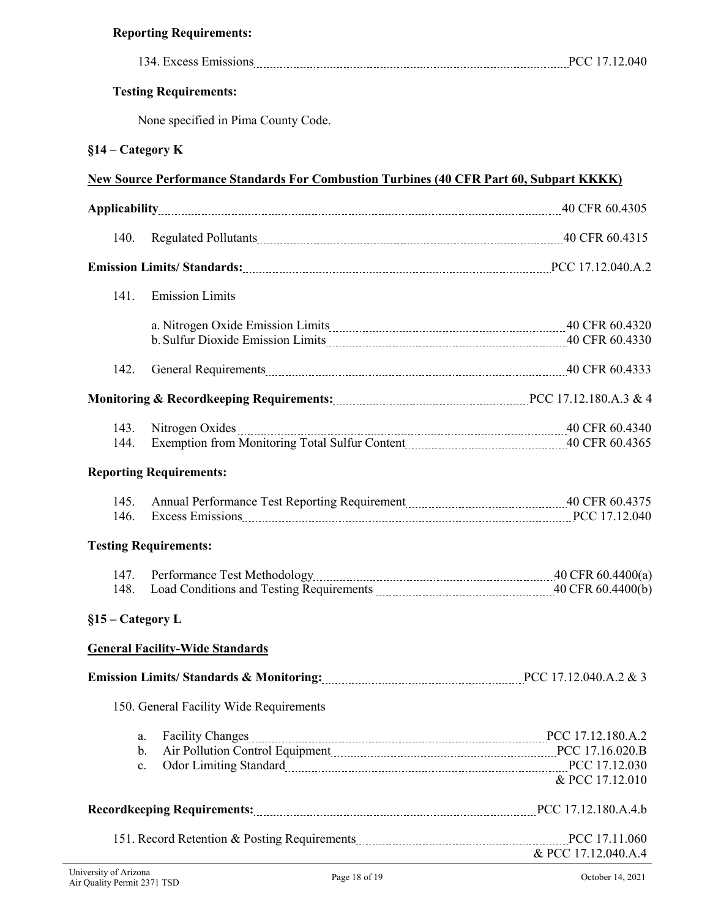| <b>Reporting Requirements:</b>                                                                                                                                                                                                                                                        |                 |  |
|---------------------------------------------------------------------------------------------------------------------------------------------------------------------------------------------------------------------------------------------------------------------------------------|-----------------|--|
| 134. Excess Emissions <b>Excess</b> Emissions <b>Excess</b> Emissions <b>Excess</b> Emissions <b>Excess</b> Emissions <b>Excess</b> Emissions <b>Excess</b> Emissions <b>Excess</b> Emissions <b>Excess</b> Emissions <b>Excess</b> Emissions <b>Excess</b> Emissions <b>Excess</b> E |                 |  |
| <b>Testing Requirements:</b>                                                                                                                                                                                                                                                          |                 |  |
| None specified in Pima County Code.                                                                                                                                                                                                                                                   |                 |  |
| $§14 - \text{Category K}$                                                                                                                                                                                                                                                             |                 |  |
| <b>New Source Performance Standards For Combustion Turbines (40 CFR Part 60, Subpart KKKK)</b>                                                                                                                                                                                        |                 |  |
|                                                                                                                                                                                                                                                                                       |                 |  |
| 140.                                                                                                                                                                                                                                                                                  |                 |  |
| Emission Limits/Standards: [17.12.040.A.2]                                                                                                                                                                                                                                            |                 |  |
| 141.<br><b>Emission Limits</b>                                                                                                                                                                                                                                                        |                 |  |
|                                                                                                                                                                                                                                                                                       |                 |  |
| 142.                                                                                                                                                                                                                                                                                  |                 |  |
|                                                                                                                                                                                                                                                                                       |                 |  |
| 143.<br>144.<br><b>Reporting Requirements:</b>                                                                                                                                                                                                                                        |                 |  |
| 145.<br>Excess Emissions 2008 and 2008 and 2008 and 2008 and 2008 and 2008 and 2008 and 2008 and 2008 and 2008 and 200<br>146.                                                                                                                                                        |                 |  |
| <b>Testing Requirements:</b>                                                                                                                                                                                                                                                          |                 |  |
| 147.<br>148.                                                                                                                                                                                                                                                                          |                 |  |
| $§15 - \text{Category L}$                                                                                                                                                                                                                                                             |                 |  |
| <b>General Facility-Wide Standards</b>                                                                                                                                                                                                                                                |                 |  |
| Emission Limits/Standards & Monitoring: 2003. [2015] PCC 17.12.040.A.2 & 3                                                                                                                                                                                                            |                 |  |
| 150. General Facility Wide Requirements                                                                                                                                                                                                                                               |                 |  |
| <b>Facility Changes</b><br>a.<br>Air Pollution Control Equipment Material Control Base and PCC 17.16.020.B<br>$\mathbf b$ .<br>Odor Limiting Standard Marian March 2017.12.030<br>$\mathbf{c}$ .                                                                                      | & PCC 17.12.010 |  |
|                                                                                                                                                                                                                                                                                       |                 |  |

151. Record Retention & Posting Requirements **PEC 17.11.060** PCC 17.11.060

& PCC 17.12.040.A.4